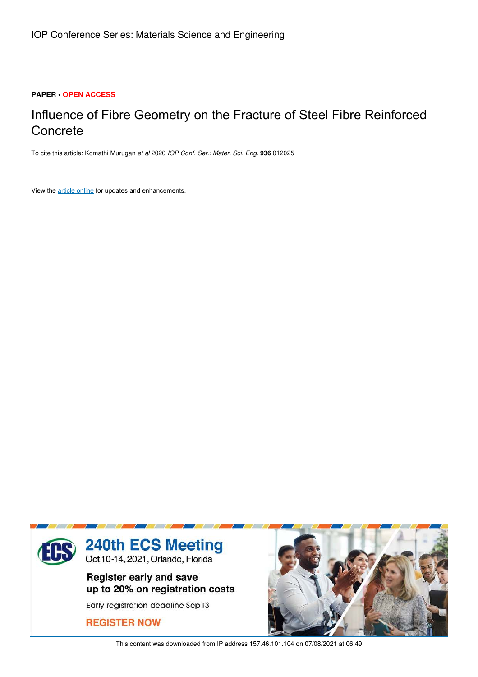#### **PAPER • OPEN ACCESS**

# Influence of Fibre Geometry on the Fracture of Steel Fibre Reinforced Concrete

To cite this article: Komathi Murugan *et al* 2020 *IOP Conf. Ser.: Mater. Sci. Eng.* **936** 012025

View the article online for updates and enhancements.



This content was downloaded from IP address 157.46.101.104 on 07/08/2021 at 06:49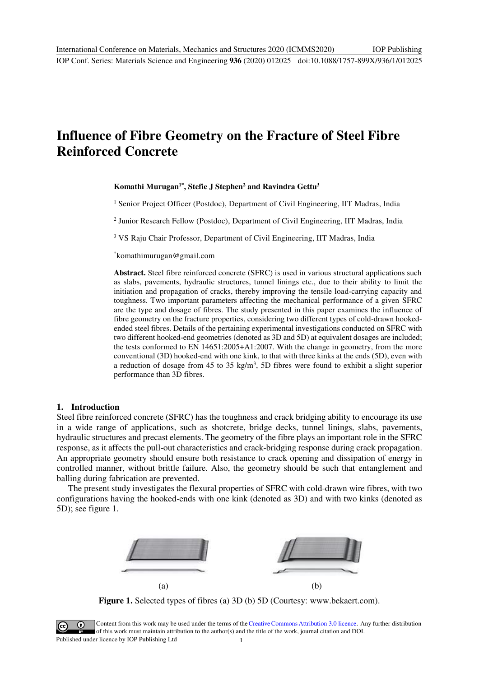# **Influence of Fibre Geometry on the Fracture of Steel Fibre Reinforced Concrete**

**Komathi Murugan1\*, Stefie J Stephen<sup>2</sup> and Ravindra Gettu<sup>3</sup>**

<sup>1</sup> Senior Project Officer (Postdoc), Department of Civil Engineering, IIT Madras, India

<sup>2</sup> Junior Research Fellow (Postdoc), Department of Civil Engineering, IIT Madras, India

<sup>3</sup> VS Raju Chair Professor, Department of Civil Engineering, IIT Madras, India

\*[komathimurugan@gmail.com](mailto:komathimurugan@gmail.com) 

**Abstract.** Steel fibre reinforced concrete (SFRC) is used in various structural applications such as slabs, pavements, hydraulic structures, tunnel linings etc., due to their ability to limit the initiation and propagation of cracks, thereby improving the tensile load-carrying capacity and toughness. Two important parameters affecting the mechanical performance of a given SFRC are the type and dosage of fibres. The study presented in this paper examines the influence of fibre geometry on the fracture properties, considering two different types of cold-drawn hookedended steel fibres. Details of the pertaining experimental investigations conducted on SFRC with two different hooked-end geometries (denoted as 3D and 5D) at equivalent dosages are included; the tests conformed to EN 14651:2005+A1:2007. With the change in geometry, from the more conventional (3D) hooked-end with one kink, to that with three kinks at the ends (5D), even with a reduction of dosage from 45 to 35 kg/m<sup>3</sup>, 5D fibres were found to exhibit a slight superior performance than 3D fibres.

#### **1. Introduction**

Steel fibre reinforced concrete (SFRC) has the toughness and crack bridging ability to encourage its use in a wide range of applications, such as shotcrete, bridge decks, tunnel linings, slabs, pavements, hydraulic structures and precast elements. The geometry of the fibre plays an important role in the SFRC response, as it affects the pull-out characteristics and crack-bridging response during crack propagation. An appropriate geometry should ensure both resistance to crack opening and dissipation of energy in controlled manner, without brittle failure. Also, the geometry should be such that entanglement and balling during fabrication are prevented.

The present study investigates the flexural properties of SFRC with cold-drawn wire fibres, with two configurations having the hooked-ends with one kink (denoted as 3D) and with two kinks (denoted as 5D); see figure 1.



**Figure 1.** Selected types of fibres (a) 3D (b) 5D (Courtesy: [www.bekaert.com\)](http://www.bekaert.com/).

Content from this work may be used under the terms of theCreative Commons Attribution 3.0 licence. Any further distribution of this work must maintain attribution to the author(s) and the title of the work, journal citation and DOI. Published under licence by IOP Publishing Ltd 1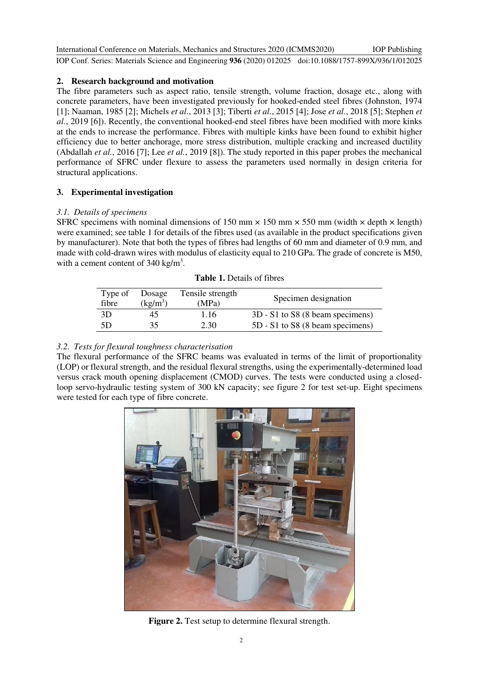International Conference on Materials, Mechanics and Structures 2020 (ICMMS2020) IOP Conf. Series: Materials Science and Engineering **936** (2020) 012025 doi:10.1088/1757-899X/936/1/012025 IOP Publishing

### **2. Research background and motivation**

The fibre parameters such as aspect ratio, tensile strength, volume fraction, dosage etc., along with concrete parameters, have been investigated previously for hooked-ended steel fibres (Johnston, 1974 [1]; Naaman, 1985 [2]; Michels *et al.*, 2013 [3]; Tiberti *et al.*, 2015 [4]; Jose *et al.*, 2018 [5]; Stephen *et al.*, 2019 [6]). Recently, the conventional hooked-end steel fibres have been modified with more kinks at the ends to increase the performance. Fibres with multiple kinks have been found to exhibit higher efficiency due to better anchorage, more stress distribution, multiple cracking and increased ductility (Abdallah *et al.*, 2016 [7]; Lee *et al.*, 2019 [8]). The study reported in this paper probes the mechanical performance of SFRC under flexure to assess the parameters used normally in design criteria for structural applications.

## **3. Experimental investigation**

#### *3.1. Details of specimens*

SFRC specimens with nominal dimensions of 150 mm  $\times$  150 mm  $\times$  550 mm (width  $\times$  depth  $\times$  length) were examined; see table 1 for details of the fibres used (as available in the product specifications given by manufacturer). Note that both the types of fibres had lengths of 60 mm and diameter of 0.9 mm, and made with cold-drawn wires with modulus of elasticity equal to 210 GPa. The grade of concrete is M50, with a cement content of  $340 \text{ kg/m}^3$ .

| Type of<br>fibre | Dosage<br>$(kg/m^3)$ | Tensile strength<br>(MPa) | Specimen designation             |  |  |  |  |
|------------------|----------------------|---------------------------|----------------------------------|--|--|--|--|
| 3D               | 45                   | 1.16                      | 3D - S1 to S8 (8 beam specimens) |  |  |  |  |
| 5D               | 35                   | 2.30                      | 5D - S1 to S8 (8 beam specimens) |  |  |  |  |

| <b>Table 1.</b> Details of fibres |  |
|-----------------------------------|--|
|-----------------------------------|--|

## *3.2. Tests for flexural toughness characterisation*

The flexural performance of the SFRC beams was evaluated in terms of the limit of proportionality (LOP) or flexural strength, and the residual flexural strengths, using the experimentally-determined load versus crack mouth opening displacement (CMOD) curves. The tests were conducted using a closedloop servo-hydraulic testing system of 300 kN capacity; see figure 2 for test set-up. Eight specimens were tested for each type of fibre concrete.



**Figure 2.** Test setup to determine flexural strength.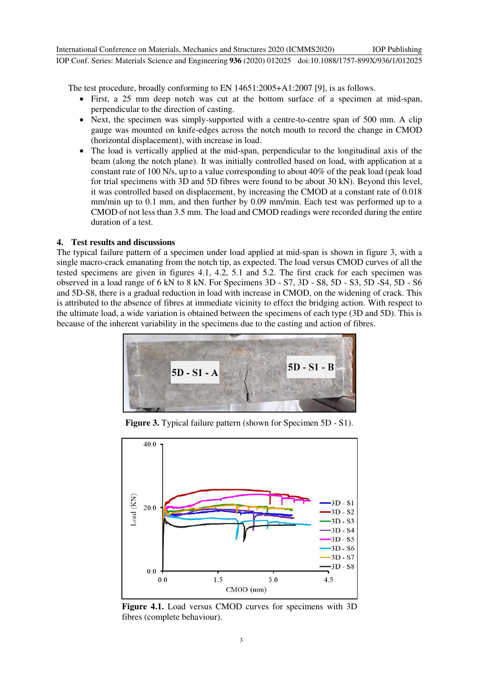The test procedure, broadly conforming to EN 14651:2005+A1:2007 [9], is as follows.

- First, a 25 mm deep notch was cut at the bottom surface of a specimen at mid-span, perpendicular to the direction of casting.
- Next, the specimen was simply-supported with a centre-to-centre span of 500 mm. A clip gauge was mounted on knife-edges across the notch mouth to record the change in CMOD (horizontal displacement), with increase in load.
- The load is vertically applied at the mid-span, perpendicular to the longitudinal axis of the beam (along the notch plane). It was initially controlled based on load, with application at a constant rate of 100 N/s, up to a value corresponding to about 40% of the peak load (peak load for trial specimens with 3D and 5D fibres were found to be about 30 kN). Beyond this level, it was controlled based on displacement, by increasing the CMOD at a constant rate of 0.018 mm/min up to 0.1 mm, and then further by 0.09 mm/min. Each test was performed up to a CMOD of not less than 3.5 mm. The load and CMOD readings were recorded during the entire duration of a test.

#### **4. Test results and discussions**

The typical failure pattern of a specimen under load applied at mid-span is shown in figure 3, with a single macro-crack emanating from the notch tip, as expected. The load versus CMOD curves of all the tested specimens are given in figures 4.1, 4.2, 5.1 and 5.2. The first crack for each specimen was observed in a load range of 6 kN to 8 kN. For Specimens 3D - S7, 3D - S8, 5D - S3, 5D -S4, 5D - S6 and 5D-S8, there is a gradual reduction in load with increase in CMOD, on the widening of crack. This is attributed to the absence of fibres at immediate vicinity to effect the bridging action. With respect to the ultimate load, a wide variation is obtained between the specimens of each type (3D and 5D). This is because of the inherent variability in the specimens due to the casting and action of fibres.



**Figure 3.** Typical failure pattern (shown for Specimen 5D - S1).



**Figure 4.1.** Load versus CMOD curves for specimens with 3D fibres (complete behaviour).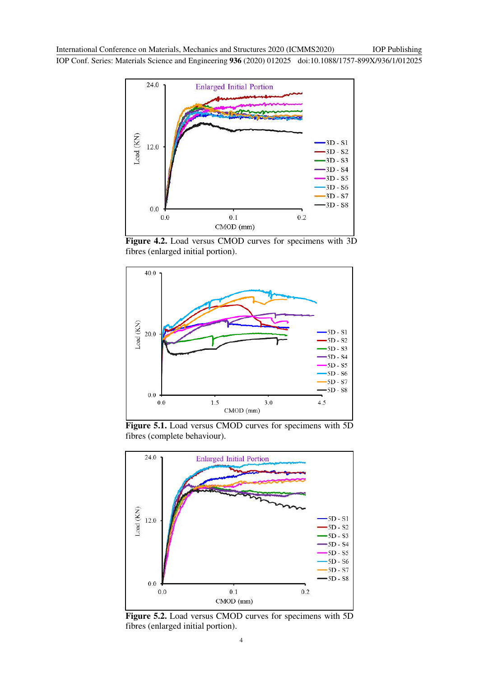International Conference on Materials, Mechanics and Structures 2020 (ICMMS2020) IOP Conf. Series: Materials Science and Engineering **936** (2020) 012025 doi:10.1088/1757-899X/936/1/012025 IOP Publishing



**Figure 4.2.** Load versus CMOD curves for specimens with 3D fibres (enlarged initial portion).



**Figure 5.1.** Load versus CMOD curves for specimens with 5D fibres (complete behaviour).



**Figure 5.2.** Load versus CMOD curves for specimens with 5D fibres (enlarged initial portion).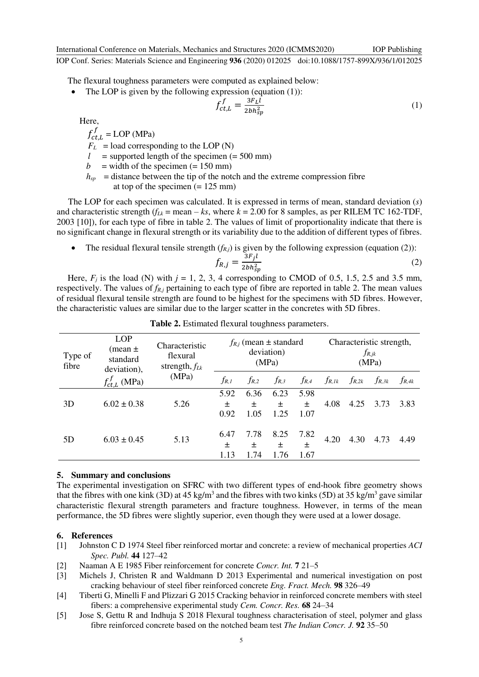International Conference on Materials, Mechanics and Structures 2020 (ICMMS2020) IOP Conf. Series: Materials Science and Engineering **936** (2020) 012025 doi:10.1088/1757-899X/936/1/012025 IOP Publishing

The flexural toughness parameters were computed as explained below:

• The LOP is given by the following expression (equation  $(1)$ ):

$$
f_{ct,L}^f = \frac{3F_L\hat{l}}{2bh_{sp}^2} \tag{1}
$$

Here,

$$
f_{ct,L}^J = \text{LOP (MPa)}
$$

 $F_L$  = load corresponding to the LOP (N)

- $l =$  supported length of the specimen  $(= 500 \text{ mm})$
- $b =$  width of the specimen (= 150 mm)
- $h_{sp}$  = distance between the tip of the notch and the extreme compression fibre at top of the specimen  $(= 125 \text{ mm})$

The LOP for each specimen was calculated. It is expressed in terms of mean, standard deviation (*s*) and characteristic strength  $(f_{Lk} = \text{mean} - ks)$ , where  $k = 2.00$  for 8 samples, as per RILEM TC 162-TDF, 2003 [10]), for each type of fibre in table 2. The values of limit of proportionality indicate that there is no significant change in flexural strength or its variability due to the addition of different types of fibres.

The residual flexural tensile strength  $(f_{R,j})$  is given by the following expression (equation (2)):

$$
f_{R,j} = \frac{3F_j l}{2bh_{sp}^2} \tag{2}
$$

Here,  $F_j$  is the load (N) with  $j = 1, 2, 3, 4$  corresponding to CMOD of 0.5, 1.5, 2.5 and 3.5 mm, respectively. The values of  $f_{R,j}$  pertaining to each type of fibre are reported in table 2. The mean values of residual flexural tensile strength are found to be highest for the specimens with 5D fibres. However, the characteristic values are similar due to the larger scatter in the concretes with 5D fibres.

| Type of<br>fibre | <b>LOP</b><br>(mean $\pm$<br>standard<br>deviation), | Characteristic<br>flexural<br>strength, $f_{Lk}$<br>(MPa) | $f_{R,i}$ (mean $\pm$ standard<br>deviation)<br>(MPa) |           |           |                   | Characteristic strength,<br>$f_{R, jk}$<br>(MPa) |            |            |            |
|------------------|------------------------------------------------------|-----------------------------------------------------------|-------------------------------------------------------|-----------|-----------|-------------------|--------------------------------------------------|------------|------------|------------|
|                  | $f'_{\underline{ct},\underline{L}}$ (MPa)            |                                                           | f <sub>R, 1</sub>                                     | $f_{R,2}$ | $f_{R,3}$ | $f_{R,4}$         | $f_{R,1k}$                                       | $f_{R,2k}$ | $f_{R,3k}$ | $f_{R,4k}$ |
| 3D               | $6.02 \pm 0.38$                                      | 5.26                                                      | 5.92<br>土                                             | 6.36<br>土 | 6.23<br>土 | 5.98<br>$\ddot{}$ | 4.08                                             | 4.25       | 3.73       | 3.83       |
|                  |                                                      |                                                           | 0.92                                                  | 1.05      | 1.25      | 1.07              |                                                  |            |            |            |
| 5D               | $6.03 \pm 0.45$                                      | 5.13                                                      | 6.47                                                  | 7.78      | 8.25      | 7.82              | 4.20                                             | 4.30       | 4.73       | 4.49       |
|                  |                                                      |                                                           | 土<br>1.13                                             | 土<br>1.74 | 土<br>1.76 | 土<br>1.67         |                                                  |            |            |            |

**Table 2.** Estimated flexural toughness parameters.

#### **5. Summary and conclusions**

The experimental investigation on SFRC with two different types of end-hook fibre geometry shows that the fibres with one kink (3D) at 45 kg/m<sup>3</sup> and the fibres with two kinks (5D) at 35 kg/m<sup>3</sup> gave similar characteristic flexural strength parameters and fracture toughness. However, in terms of the mean performance, the 5D fibres were slightly superior, even though they were used at a lower dosage.

#### **6. References**

- [1] Johnston C D 1974 Steel fiber reinforced mortar and concrete: a review of mechanical properties *ACI Spec. Publ.* **44** 127–42
- [2] Naaman A E 1985 Fiber reinforcement for concrete *Concr. Int.* **7** 21–5
- [3] Michels J, Christen R and Waldmann D 2013 Experimental and numerical investigation on post cracking behaviour of steel fiber reinforced concrete *Eng. Fract. Mech.* **98** 326–49
- [4] Tiberti G, Minelli F and Plizzari G 2015 Cracking behavior in reinforced concrete members with steel fibers: a comprehensive experimental study *Cem. Concr. Res.* **68** 24–34
- [5] Jose S, Gettu R and Indhuja S 2018 Flexural toughness characterisation of steel, polymer and glass fibre reinforced concrete based on the notched beam test *The Indian Concr. J.* **92** 35–50